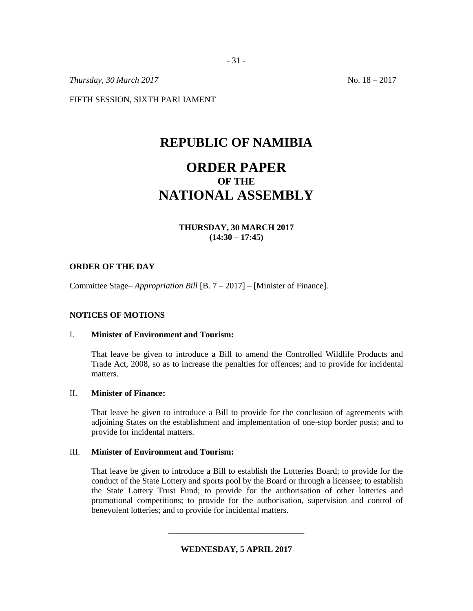*Thursday, 30 March* 2017 No. 18 – 2017

FIFTH SESSION, SIXTH PARLIAMENT

# **REPUBLIC OF NAMIBIA**

# **ORDER PAPER OF THE NATIONAL ASSEMBLY**

## **THURSDAY, 30 MARCH 2017 (14:30 – 17:45)**

#### **ORDER OF THE DAY**

Committee Stage– *Appropriation Bill* [B. 7 – 2017] – [Minister of Finance].

### **NOTICES OF MOTIONS**

#### I. **Minister of Environment and Tourism:**

That leave be given to introduce a Bill to amend the Controlled Wildlife Products and Trade Act, 2008, so as to increase the penalties for offences; and to provide for incidental matters.

#### II. **Minister of Finance:**

That leave be given to introduce a Bill to provide for the conclusion of agreements with adjoining States on the establishment and implementation of one-stop border posts; and to provide for incidental matters.

#### III. **Minister of Environment and Tourism:**

That leave be given to introduce a Bill to establish the Lotteries Board; to provide for the conduct of the State Lottery and sports pool by the Board or through a licensee; to establish the State Lottery Trust Fund; to provide for the authorisation of other lotteries and promotional competitions; to provide for the authorisation, supervision and control of benevolent lotteries; and to provide for incidental matters.

**WEDNESDAY, 5 APRIL 2017**

\_\_\_\_\_\_\_\_\_\_\_\_\_\_\_\_\_\_\_\_\_\_\_\_\_\_\_\_\_\_\_\_